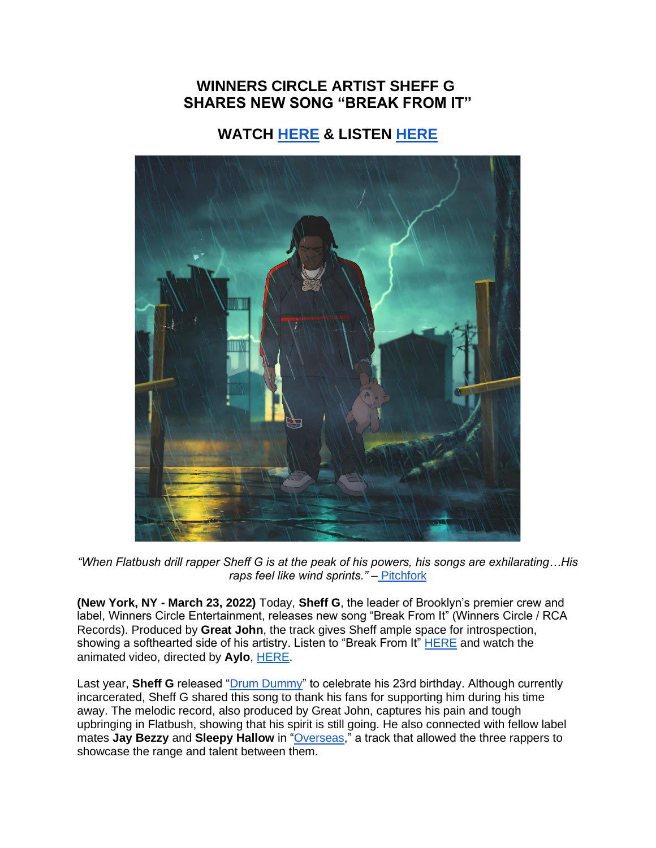## **WINNERS CIRCLE ARTIST SHEFF G SHARES NEW SONG "BREAK FROM IT"**

## **WATCH [HERE](https://eur01.safelinks.protection.outlook.com/?url=https%3A%2F%2Fyoutu.be%2FYqhCgEFuHXQ&data=04%7C01%7Cnoelle.janasiewicz.sme%40sonymusic.com%7C381f535152974b5e0a7808da0d05c887%7Cf0aff3b791a54aaeaf71c63e1dda2049%7C0%7C0%7C637836615748492706%7CUnknown%7CTWFpbGZsb3d8eyJWIjoiMC4wLjAwMDAiLCJQIjoiV2luMzIiLCJBTiI6Ik1haWwiLCJXVCI6Mn0%3D%7C3000&sdata=gKVNGyFkPwZDEPnyXux%2FiAv5Dj%2BCLlBRcYP5%2F8XzPU4%3D&reserved=0) & LISTEN [HERE](https://eur01.safelinks.protection.outlook.com/?url=https%3A%2F%2Fsheffg.lnk.to%2FBreakFromIt&data=04%7C01%7Cnoelle.janasiewicz.sme%40sonymusic.com%7C381f535152974b5e0a7808da0d05c887%7Cf0aff3b791a54aaeaf71c63e1dda2049%7C0%7C0%7C637836615748492706%7CUnknown%7CTWFpbGZsb3d8eyJWIjoiMC4wLjAwMDAiLCJQIjoiV2luMzIiLCJBTiI6Ik1haWwiLCJXVCI6Mn0%3D%7C3000&sdata=uc4a5I0kCoTmv0KpbuteHT8u7OOJGQI67nhccfqKs%2BE%3D&reserved=0)**



*"When Flatbush drill rapper Sheff G is at the peak of his powers, his songs are exhilarating…His raps feel like wind sprints."* – [Pitchfork](https://eur01.safelinks.protection.outlook.com/?url=https%3A%2F%2Fpitchfork.com%2Flevels%2Fsheff-g-tonight-new-song-listen%2F&data=04%7C01%7Cnoelle.janasiewicz.sme%40sonymusic.com%7C381f535152974b5e0a7808da0d05c887%7Cf0aff3b791a54aaeaf71c63e1dda2049%7C0%7C0%7C637836615748492706%7CUnknown%7CTWFpbGZsb3d8eyJWIjoiMC4wLjAwMDAiLCJQIjoiV2luMzIiLCJBTiI6Ik1haWwiLCJXVCI6Mn0%3D%7C3000&sdata=TPaGLjqgRDJp7FjtcDk6vMgvdOIYuu%2BLaqiKHDBuo0E%3D&reserved=0)

**(New York, NY - March 23, 2022)** Today, **Sheff G**, the leader of Brooklyn's premier crew and label, Winners Circle Entertainment, releases new song "Break From It" (Winners Circle / RCA Records). Produced by **Great John**, the track gives Sheff ample space for introspection, showing a softhearted side of his artistry. Listen to "Break From It" [HERE](https://eur01.safelinks.protection.outlook.com/?url=https%3A%2F%2Fsheffg.lnk.to%2FBreakFromIt&data=04%7C01%7Cnoelle.janasiewicz.sme%40sonymusic.com%7C381f535152974b5e0a7808da0d05c887%7Cf0aff3b791a54aaeaf71c63e1dda2049%7C0%7C0%7C637836615748492706%7CUnknown%7CTWFpbGZsb3d8eyJWIjoiMC4wLjAwMDAiLCJQIjoiV2luMzIiLCJBTiI6Ik1haWwiLCJXVCI6Mn0%3D%7C3000&sdata=uc4a5I0kCoTmv0KpbuteHT8u7OOJGQI67nhccfqKs%2BE%3D&reserved=0) and watch the animated video, directed by **Aylo**, [HERE.](https://eur01.safelinks.protection.outlook.com/?url=https%3A%2F%2Fyoutu.be%2FYqhCgEFuHXQ&data=04%7C01%7Cnoelle.janasiewicz.sme%40sonymusic.com%7C381f535152974b5e0a7808da0d05c887%7Cf0aff3b791a54aaeaf71c63e1dda2049%7C0%7C0%7C637836615748492706%7CUnknown%7CTWFpbGZsb3d8eyJWIjoiMC4wLjAwMDAiLCJQIjoiV2luMzIiLCJBTiI6Ik1haWwiLCJXVCI6Mn0%3D%7C3000&sdata=gKVNGyFkPwZDEPnyXux%2FiAv5Dj%2BCLlBRcYP5%2F8XzPU4%3D&reserved=0)

Last year, **Sheff G** released ["Drum Dummy"](https://eur01.safelinks.protection.outlook.com/?url=https%3A%2F%2Fyoutu.be%2FFwoi4106eRU&data=04%7C01%7Cnoelle.janasiewicz.sme%40sonymusic.com%7C381f535152974b5e0a7808da0d05c887%7Cf0aff3b791a54aaeaf71c63e1dda2049%7C0%7C0%7C637836615748492706%7CUnknown%7CTWFpbGZsb3d8eyJWIjoiMC4wLjAwMDAiLCJQIjoiV2luMzIiLCJBTiI6Ik1haWwiLCJXVCI6Mn0%3D%7C3000&sdata=uK0cyjhRqSDXroydRkal3rbk2pNi8Fe8oR6XFSGTlr0%3D&reserved=0) to celebrate his 23rd birthday. Although currently incarcerated, Sheff G shared this song to thank his fans for supporting him during his time away. The melodic record, also produced by Great John, captures his pain and tough upbringing in Flatbush, showing that his spirit is still going. He also connected with fellow label mates **Jay Bezzy** and **Sleepy Hallow** in ["Overseas,](https://eur01.safelinks.protection.outlook.com/?url=https%3A%2F%2Fyoutu.be%2Fw8Qq1tkl1jI&data=04%7C01%7Cnoelle.janasiewicz.sme%40sonymusic.com%7C381f535152974b5e0a7808da0d05c887%7Cf0aff3b791a54aaeaf71c63e1dda2049%7C0%7C0%7C637836615748492706%7CUnknown%7CTWFpbGZsb3d8eyJWIjoiMC4wLjAwMDAiLCJQIjoiV2luMzIiLCJBTiI6Ik1haWwiLCJXVCI6Mn0%3D%7C3000&sdata=xSmTw2eZh8KvfTGdXx9YuucQn7dK%2FZhxWLEwnrvUH7E%3D&reserved=0)" a track that allowed the three rappers to showcase the range and talent between them.